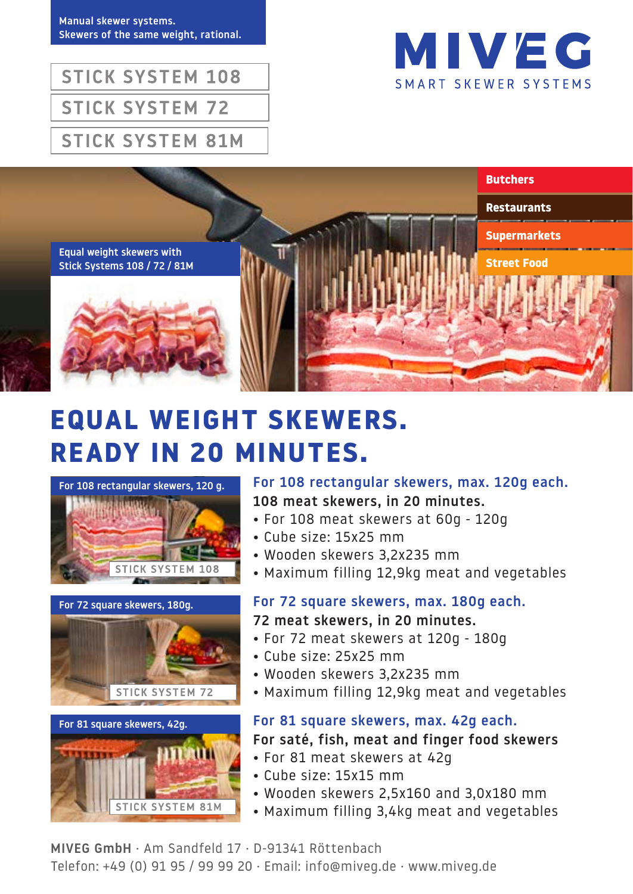Manual skewer systems. Skewers of the same weight, rational.



**STICK SYSTEM 108 STICK SYSTEM 72 STICK SYSTEM 81M** 



# **EQUAL WEIGHT SKEWERS. READY IN 20 MINUTES.**



#### For 72 square skewers, 180g.





For 108 rectangular skewers, max. 120g each. 108 meat skewers, in 20 minutes.

- For 108 meat skewers at 60g 120g
- Cube size: 15x25 mm
- Wooden skewers 3,2x235 mm
- Maximum filling 12,9kg meat and vegetables

## For 72 square skewers, max. 180g each.

- 72 meat skewers, in 20 minutes.
- For 72 meat skewers at 120g 180g
- Cube size: 25x25 mm
- Wooden skewers 3,2x235 mm
- Maximum filling 12,9kg meat and vegetables

### For 81 square skewers, max. 42g each.

For saté, fish, meat and finger food skewers

- For 81 meat skewers at 42g
- Cube size: 15x15 mm
- Wooden skewers 2,5x160 and 3,0x180 mm
- Maximum filling 3,4kg meat and vegetables

MIVEG GmbH · Am Sandfeld 17 · D-91341 Röttenbach Telefon: +49 (0) 91 95 / 99 99 20 · Email: info@miveg.de · www.miveg.de